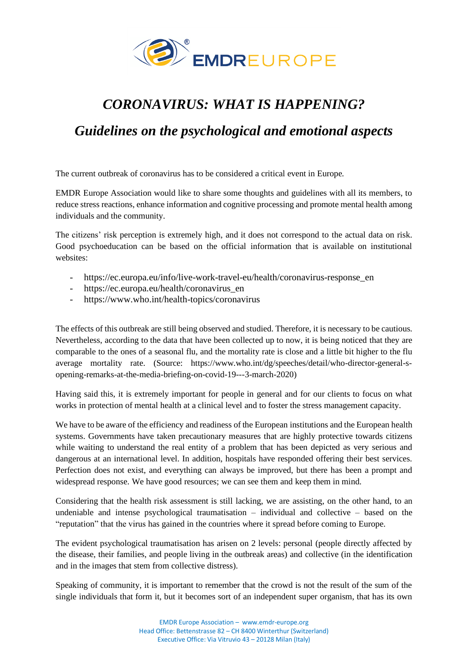

# *CORONAVIRUS: WHAT IS HAPPENING?*

## *Guidelines on the psychological and emotional aspects*

The current outbreak of coronavirus has to be considered a critical event in Europe.

EMDR Europe Association would like to share some thoughts and guidelines with all its members, to reduce stress reactions, enhance information and cognitive processing and promote mental health among individuals and the community.

The citizens' risk perception is extremely high, and it does not correspond to the actual data on risk. Good psychoeducation can be based on the official information that is available on institutional websites:

- https://ec.europa.eu/info/live-work-travel-eu/health/coronavirus-response\_en
- https://ec.europa.eu/health/coronavirus en
- https://www.who.int/health-topics/coronavirus

The effects of this outbreak are still being observed and studied. Therefore, it is necessary to be cautious. Nevertheless, according to the data that have been collected up to now, it is being noticed that they are comparable to the ones of a seasonal flu, and the mortality rate is close and a little bit higher to the flu average mortality rate. (Source: https://www.who.int/dg/speeches/detail/who-director-general-sopening-remarks-at-the-media-briefing-on-covid-19---3-march-2020)

Having said this, it is extremely important for people in general and for our clients to focus on what works in protection of mental health at a clinical level and to foster the stress management capacity.

We have to be aware of the efficiency and readiness of the European institutions and the European health systems. Governments have taken precautionary measures that are highly protective towards citizens while waiting to understand the real entity of a problem that has been depicted as very serious and dangerous at an international level. In addition, hospitals have responded offering their best services. Perfection does not exist, and everything can always be improved, but there has been a prompt and widespread response. We have good resources; we can see them and keep them in mind.

Considering that the health risk assessment is still lacking, we are assisting, on the other hand, to an undeniable and intense psychological traumatisation – individual and collective – based on the "reputation" that the virus has gained in the countries where it spread before coming to Europe.

The evident psychological traumatisation has arisen on 2 levels: personal (people directly affected by the disease, their families, and people living in the outbreak areas) and collective (in the identification and in the images that stem from collective distress).

Speaking of community, it is important to remember that the crowd is not the result of the sum of the single individuals that form it, but it becomes sort of an independent super organism, that has its own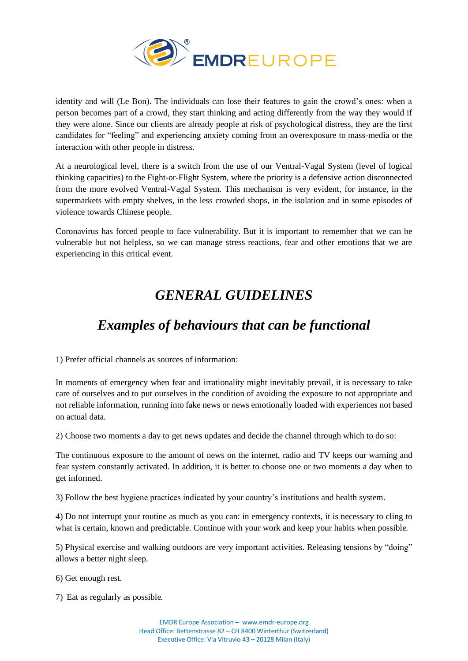

identity and will (Le Bon). The individuals can lose their features to gain the crowd's ones: when a person becomes part of a crowd, they start thinking and acting differently from the way they would if they were alone. Since our clients are already people at risk of psychological distress, they are the first candidates for "feeling" and experiencing anxiety coming from an overexposure to mass-media or the interaction with other people in distress.

At a neurological level, there is a switch from the use of our Ventral-Vagal System (level of logical thinking capacities) to the Fight-or-Flight System, where the priority is a defensive action disconnected from the more evolved Ventral-Vagal System. This mechanism is very evident, for instance, in the supermarkets with empty shelves, in the less crowded shops, in the isolation and in some episodes of violence towards Chinese people.

Coronavirus has forced people to face vulnerability. But it is important to remember that we can be vulnerable but not helpless, so we can manage stress reactions, fear and other emotions that we are experiencing in this critical event.

# *GENERAL GUIDELINES*

# *Examples of behaviours that can be functional*

1) Prefer official channels as sources of information:

In moments of emergency when fear and irrationality might inevitably prevail, it is necessary to take care of ourselves and to put ourselves in the condition of avoiding the exposure to not appropriate and not reliable information, running into fake news or news emotionally loaded with experiences not based on actual data.

2) Choose two moments a day to get news updates and decide the channel through which to do so:

The continuous exposure to the amount of news on the internet, radio and TV keeps our warning and fear system constantly activated. In addition, it is better to choose one or two moments a day when to get informed.

3) Follow the best hygiene practices indicated by your country's institutions and health system.

4) Do not interrupt your routine as much as you can: in emergency contexts, it is necessary to cling to what is certain, known and predictable. Continue with your work and keep your habits when possible.

5) Physical exercise and walking outdoors are very important activities. Releasing tensions by "doing" allows a better night sleep.

6) Get enough rest.

7) Eat as regularly as possible.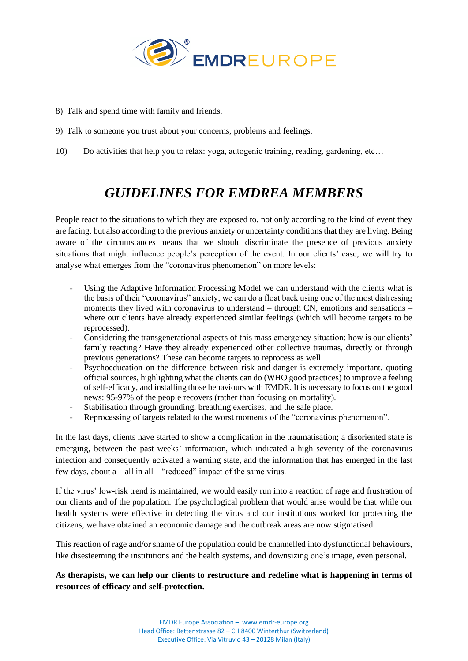

- 8) Talk and spend time with family and friends.
- 9) Talk to someone you trust about your concerns, problems and feelings.
- 10) Do activities that help you to relax: yoga, autogenic training, reading, gardening, etc…

### *GUIDELINES FOR EMDREA MEMBERS*

People react to the situations to which they are exposed to, not only according to the kind of event they are facing, but also according to the previous anxiety or uncertainty conditions that they are living. Being aware of the circumstances means that we should discriminate the presence of previous anxiety situations that might influence people's perception of the event. In our clients' case, we will try to analyse what emerges from the "coronavirus phenomenon" on more levels:

- Using the Adaptive Information Processing Model we can understand with the clients what is the basis of their "coronavirus" anxiety; we can do a float back using one of the most distressing moments they lived with coronavirus to understand – through CN, emotions and sensations – where our clients have already experienced similar feelings (which will become targets to be reprocessed).
- Considering the transgenerational aspects of this mass emergency situation: how is our clients' family reacting? Have they already experienced other collective traumas, directly or through previous generations? These can become targets to reprocess as well.
- Psychoeducation on the difference between risk and danger is extremely important, quoting official sources, highlighting what the clients can do (WHO good practices) to improve a feeling of self-efficacy, and installing those behaviours with EMDR. It is necessary to focus on the good news: 95-97% of the people recovers (rather than focusing on mortality).
- Stabilisation through grounding, breathing exercises, and the safe place.
- Reprocessing of targets related to the worst moments of the "coronavirus phenomenon".

In the last days, clients have started to show a complication in the traumatisation; a disoriented state is emerging, between the past weeks' information, which indicated a high severity of the coronavirus infection and consequently activated a warning state, and the information that has emerged in the last few days, about a – all in all – "reduced" impact of the same virus.

If the virus' low-risk trend is maintained, we would easily run into a reaction of rage and frustration of our clients and of the population. The psychological problem that would arise would be that while our health systems were effective in detecting the virus and our institutions worked for protecting the citizens, we have obtained an economic damage and the outbreak areas are now stigmatised.

This reaction of rage and/or shame of the population could be channelled into dysfunctional behaviours, like disesteeming the institutions and the health systems, and downsizing one's image, even personal.

**As therapists, we can help our clients to restructure and redefine what is happening in terms of resources of efficacy and self-protection.**